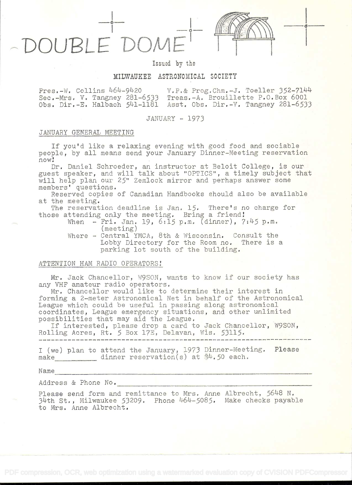$\Omega$ OUBLE

in the contract of the con-

# Issued by the

## MILWAUKEE ASTRONOMICAL SOCIETY

Pres.-W. Collins  $464-9420$  V.P.& Prog.Chm.-J. Toeller 352-7144 Sec.-Mrs. V. Tangney 281-6533 Treas.-A. Brouillette P.O.Box 6001 Obs. Dir.-E. Halbach 541–1181 Asst. Obs. Dir.-V. Tangney 281–6533

## JANUARY - 1973

## JANUARY GENERAL MEETING

If you'd like a relaxing evening with good food and sociable people, by all means send your January Dinner-Meeilng reservation now

Dr. Daniel Schroeder, an instructor at Beloit College, is our guest speaker, and will talk about "OPTICS", a timely subject that will help plan our 25" Zemlock mirror and perhaps answer some members' questions

Reserved copies of Canadian Handbooks should also be available at the meeting.

The reservation deadline is Jan. 15. There's no charge for those attending only the meeting. Bring a friend!

- When  $-Fri.$  Jan. 19, 6.15 p.m. (dinner),  $7:45$  p.m. (meeting)
- Where Central YMCA, 8th & Wisconsin. Consult the Lobby Directory for the Room no. There is a parking lot south of the building.

## ATTENTION HAM RADIO OPERATORS

Mr. Jack Chancellor, W9SON, wants to know if our society has any VHF amateur radio operators.

Mr. Chancellor would like to determine their interest in forming a 2-meter Astronomical Net in behalf of the Astronomical League which could be useful in passing along astronomical coordinates, League emergency situations, and other unlimited possibilities that may aid the League.

If interested, please drop a card to Jack Chancellor, W9SON, Rolling Acres, Rt. 5 Box 17E, Delavan, Wis. 53115.

I (we) plan to attend the January, 1973 Dinner-Meeting. Please make dinner reservation(s) at  $*4.50$  each.

Name

Address & Phone No.

Please send form and remittance to Mrs. Anne Albrecht, 5648 N. 34th St., Milwaukee 53209. Phone 464-5085. Make checks payable to Mrs. Anne Albrecht.